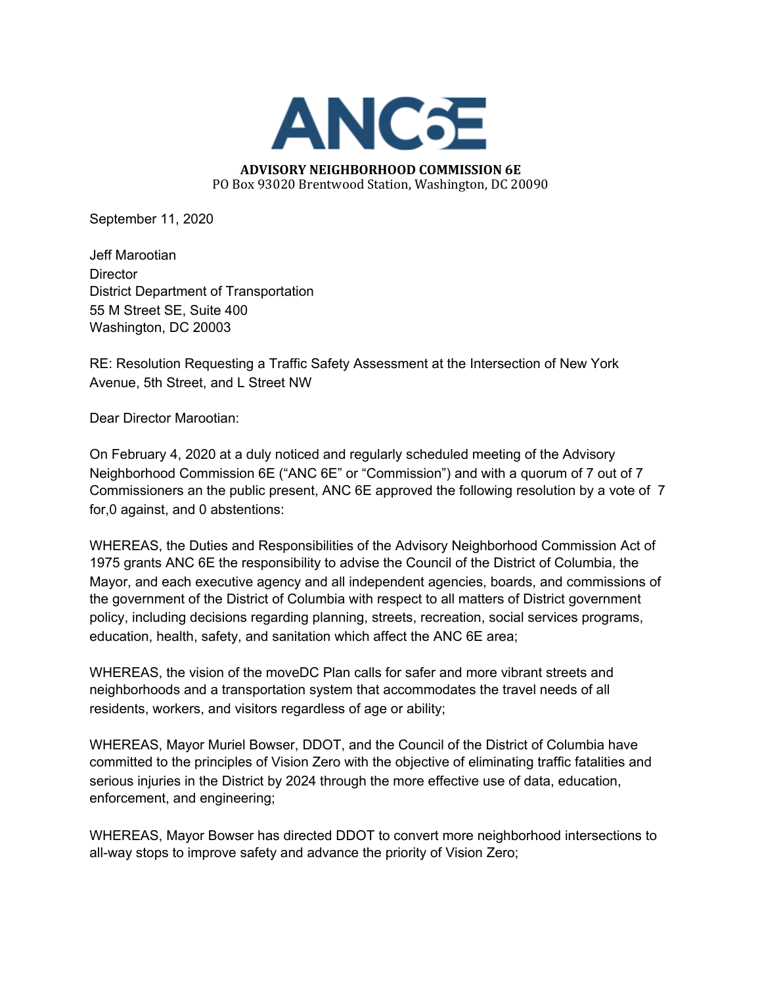

## **ADVISORY NEIGHBORHOOD COMMISSION 6E**

PO Box 93020 Brentwood Station, Washington, DC 20090

September 11, 2020

Jeff Marootian **Director** District Department of Transportation 55 M Street SE, Suite 400 Washington, DC 20003

RE: Resolution Requesting a Traffic Safety Assessment at the Intersection of New York Avenue, 5th Street, and L Street NW

Dear Director Marootian:

On February 4, 2020 at a duly noticed and regularly scheduled meeting of the Advisory Neighborhood Commission 6E ("ANC 6E" or "Commission") and with a quorum of 7 out of 7 Commissioners an the public present, ANC 6E approved the following resolution by a vote of 7 for,0 against, and 0 abstentions:

WHEREAS, the Duties and Responsibilities of the Advisory Neighborhood Commission Act of 1975 grants ANC 6E the responsibility to advise the Council of the District of Columbia, the Mayor, and each executive agency and all independent agencies, boards, and commissions of the government of the District of Columbia with respect to all matters of District government policy, including decisions regarding planning, streets, recreation, social services programs, education, health, safety, and sanitation which affect the ANC 6E area;

WHEREAS, the vision of the moveDC Plan calls for safer and more vibrant streets and neighborhoods and a transportation system that accommodates the travel needs of all residents, workers, and visitors regardless of age or ability;

WHEREAS, Mayor Muriel Bowser, DDOT, and the Council of the District of Columbia have committed to the principles of Vision Zero with the objective of eliminating traffic fatalities and serious injuries in the District by 2024 through the more effective use of data, education, enforcement, and engineering;

WHEREAS, Mayor Bowser has directed DDOT to convert more neighborhood intersections to all-way stops to improve safety and advance the priority of Vision Zero;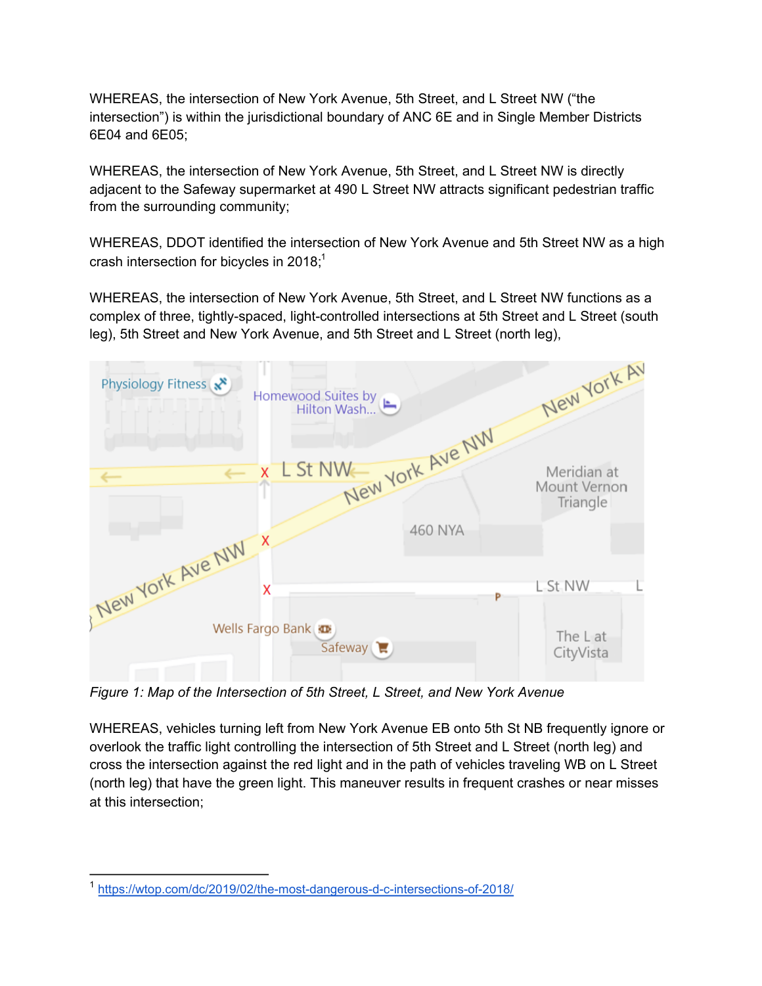WHEREAS, the intersection of New York Avenue, 5th Street, and L Street NW ("the intersection") is within the jurisdictional boundary of ANC 6E and in Single Member Districts 6E04 and 6E05;

WHEREAS, the intersection of New York Avenue, 5th Street, and L Street NW is directly adjacent to the Safeway supermarket at 490 L Street NW attracts significant pedestrian traffic from the surrounding community;

WHEREAS, DDOT identified the intersection of New York Avenue and 5th Street NW as a high crash intersection for bicycles in  $2018$ ;<sup>1</sup>

WHEREAS, the intersection of New York Avenue, 5th Street, and L Street NW functions as a complex of three, tightly-spaced, light-controlled intersections at 5th Street and L Street (south leg), 5th Street and New York Avenue, and 5th Street and L Street (north leg),



*Figure 1: Map of the Intersection of 5th Street, L Street, and New York Avenue*

WHEREAS, vehicles turning left from New York Avenue EB onto 5th St NB frequently ignore or overlook the traffic light controlling the intersection of 5th Street and L Street (north leg) and cross the intersection against the red light and in the path of vehicles traveling WB on L Street (north leg) that have the green light. This maneuver results in frequent crashes or near misses at this intersection;

<sup>1</sup> https://wtop.com/dc/2019/02/the-most-dangerous-d-c-intersections-of-2018/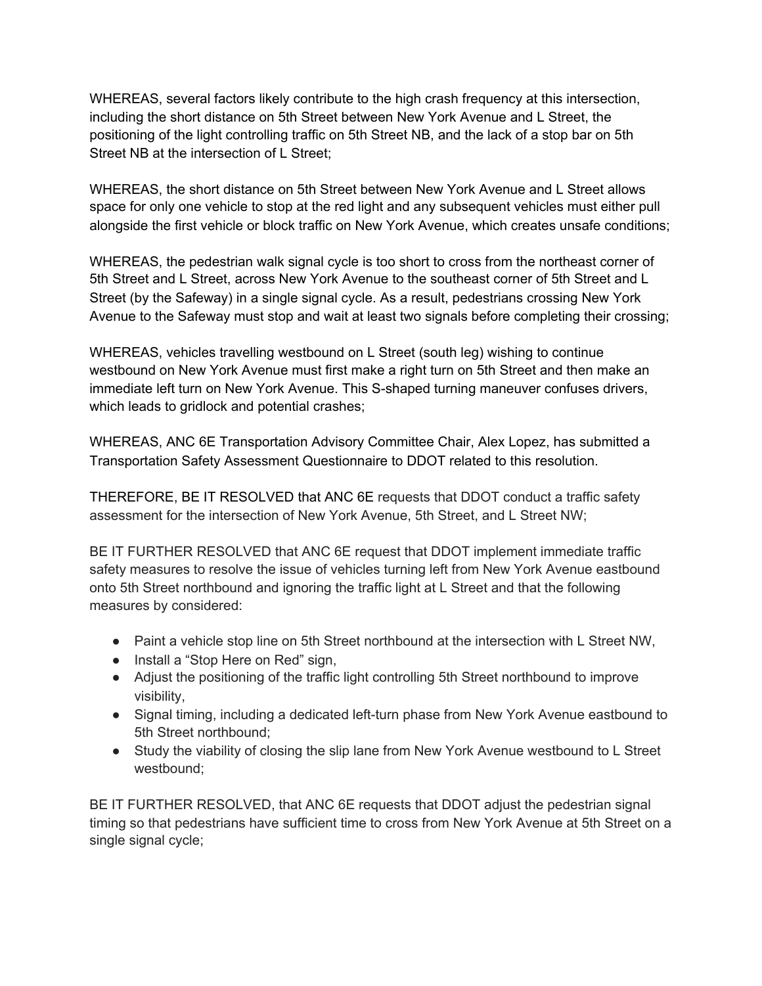WHEREAS, several factors likely contribute to the high crash frequency at this intersection, including the short distance on 5th Street between New York Avenue and L Street, the positioning of the light controlling traffic on 5th Street NB, and the lack of a stop bar on 5th Street NB at the intersection of L Street;

WHEREAS, the short distance on 5th Street between New York Avenue and L Street allows space for only one vehicle to stop at the red light and any subsequent vehicles must either pull alongside the first vehicle or block traffic on New York Avenue, which creates unsafe conditions;

WHEREAS, the pedestrian walk signal cycle is too short to cross from the northeast corner of 5th Street and L Street, across New York Avenue to the southeast corner of 5th Street and L Street (by the Safeway) in a single signal cycle. As a result, pedestrians crossing New York Avenue to the Safeway must stop and wait at least two signals before completing their crossing;

WHEREAS, vehicles travelling westbound on L Street (south leg) wishing to continue westbound on New York Avenue must first make a right turn on 5th Street and then make an immediate left turn on New York Avenue. This S-shaped turning maneuver confuses drivers, which leads to gridlock and potential crashes;

WHEREAS, ANC 6E Transportation Advisory Committee Chair, Alex Lopez, has submitted a Transportation Safety Assessment Questionnaire to DDOT related to this resolution.

THEREFORE, BE IT RESOLVED that ANC 6E requests that DDOT conduct a traffic safety assessment for the intersection of New York Avenue, 5th Street, and L Street NW;

BE IT FURTHER RESOLVED that ANC 6E request that DDOT implement immediate traffic safety measures to resolve the issue of vehicles turning left from New York Avenue eastbound onto 5th Street northbound and ignoring the traffic light at L Street and that the following measures by considered:

- Paint a vehicle stop line on 5th Street northbound at the intersection with L Street NW,
- Install a "Stop Here on Red" sign,
- Adjust the positioning of the traffic light controlling 5th Street northbound to improve visibility,
- Signal timing, including a dedicated left-turn phase from New York Avenue eastbound to 5th Street northbound;
- Study the viability of closing the slip lane from New York Avenue westbound to L Street westbound;

BE IT FURTHER RESOLVED, that ANC 6E requests that DDOT adjust the pedestrian signal timing so that pedestrians have sufficient time to cross from New York Avenue at 5th Street on a single signal cycle;